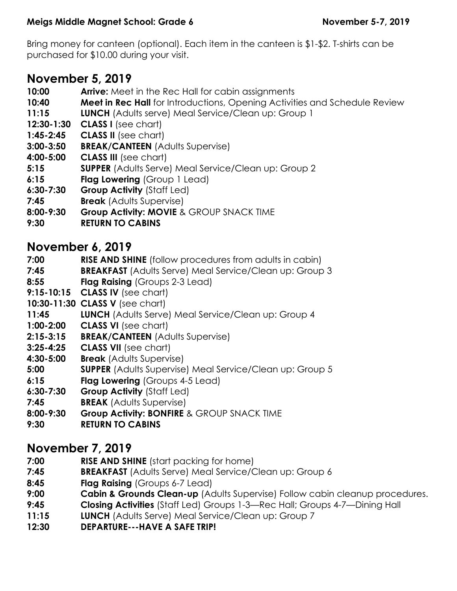Bring money for canteen (optional). Each item in the canteen is \$1-\$2. T-shirts can be purchased for \$10.00 during your visit.

# **November 5, 2019**

- **10:00 Arrive:** Meet in the Rec Hall for cabin assignments
- **10:40 Meet in Rec Hall** for Introductions, Opening Activities and Schedule Review
- **11:15 LUNCH** (Adults serve) Meal Service/Clean up: Group 1
- **12:30-1:30 CLASS I** (see chart)
- **1:45-2:45 CLASS II** (see chart)
- **3:00-3:50 BREAK/CANTEEN** (Adults Supervise)
- **4:00-5:00 CLASS III** (see chart)
- **5:15 SUPPER** (Adults Serve) Meal Service/Clean up: Group 2
- **6:15 Flag Lowering (Group 1 Lead)**
- **6:30-7:30 Group Activity** (Staff Led)
- **7:45 Break** (Adults Supervise)
- **8:00-9:30 Group Activity: MOVIE** & GROUP SNACK TIME
- **9:30 RETURN TO CABINS**

## **November 6, 2019**

- **7:00 RISE AND SHINE** (follow procedures from adults in cabin)
- **7:45 BREAKFAST** (Adults Serve) Meal Service/Clean up: Group 3
- **8:55 Flag Raising** (Groups 2-3 Lead)
- **9:15-10:15 CLASS IV** (see chart)
- **10:30-11:30 CLASS V** (see chart)
- **11:45 LUNCH** (Adults Serve) Meal Service/Clean up: Group 4
- **1:00-2:00 CLASS VI** (see chart)
- **2:15-3:15 BREAK/CANTEEN** (Adults Supervise)
- **3:25-4:25 CLASS VII** (see chart)
- **4:30-5:00 Break** (Adults Supervise)
- **5:00 SUPPER** (Adults Supervise) Meal Service/Clean up: Group 5
- **6:15 Flag Lowering** (Groups 4-5 Lead)
- **6:30-7:30 Group Activity** (Staff Led)
- **7:45 BREAK** (Adults Supervise)
- **8:00-9:30 Group Activity: BONFIRE** & GROUP SNACK TIME
- **9:30 RETURN TO CABINS**

## **November 7, 2019**

- **7:00 RISE AND SHINE** (start packing for home)
- **7:45 BREAKFAST** (Adults Serve) Meal Service/Clean up: Group 6
- **8:45 Flag Raising** (Groups 6-7 Lead)
- **9:00 Cabin & Grounds Clean-up** (Adults Supervise) Follow cabin cleanup procedures.
- **9:45 Closing Activities** (Staff Led) Groups 1-3—Rec Hall; Groups 4-7—Dining Hall
- **11:15 LUNCH** (Adults Serve) Meal Service/Clean up: Group 7
- **12:30 DEPARTURE---HAVE A SAFE TRIP!**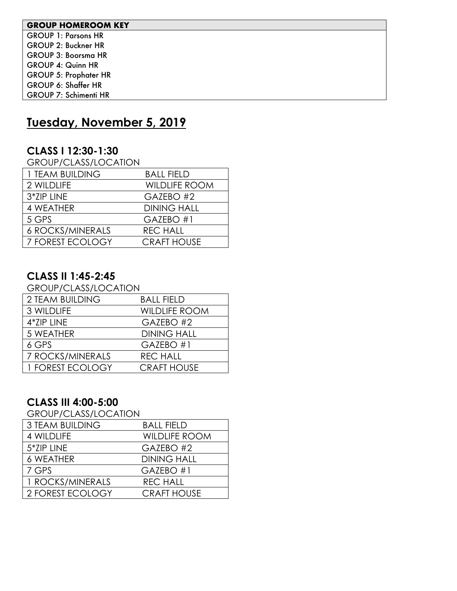#### **GROUP HOMEROOM KEY**

GROUP 1: Parsons HR GROUP 2: Buckner HR GROUP 3: Boorsma HR GROUP 4: Quinn HR GROUP 5: Prophater HR GROUP 6: Shaffer HR GROUP 7: Schimenti HR

# **Tuesday, November 5, 2019**

#### **CLASS I 12:30-1:30**

GROUP/CLASS/LOCATION

| 1 TEAM BUILDING         | <b>BALL FIELD</b>    |
|-------------------------|----------------------|
| 2 WILDLIFE              | <b>WILDLIFE ROOM</b> |
| 3*ZIP LINE              | GAZEBO #2            |
| 4 WEATHER               | <b>DINING HALL</b>   |
| 5 GPS                   | GAZEBO#1             |
| <b>6 ROCKS/MINERALS</b> | <b>REC HALL</b>      |
| 7 FOREST ECOLOGY        | <b>CRAFT HOUSE</b>   |

#### **CLASS II 1:45-2:45**

| <b>GROUP/CLASS/LOCATION</b> |                      |  |
|-----------------------------|----------------------|--|
| 2 TEAM BUILDING             | <b>BALL FIELD</b>    |  |
| 3 WILDLIFE                  | <b>WILDLIFE ROOM</b> |  |
| 4*ZIP LINE                  | GAZEBO #2            |  |
| 5 WEATHER                   | <b>DINING HALL</b>   |  |
| 6 GPS                       | GAZEBO#1             |  |
| 7 ROCKS/MINERALS            | <b>REC HALL</b>      |  |
| 1 FOREST ECOLOGY            | <b>CRAFT HOUSE</b>   |  |

### **CLASS III 4:00-5:00**

GROUP/CLASS/LOCATION

| <b>3 TEAM BUILDING</b> | <b>BALL FIELD</b>    |
|------------------------|----------------------|
| 4 WILDLIFE             | <b>WILDLIFE ROOM</b> |
| 5*ZIP LINE             | GAZEBO #2            |
| <b>6 WEATHER</b>       | <b>DINING HALL</b>   |
| 7 GPS                  | GAZEBO #1            |
| 1 ROCKS/MINERALS       | <b>REC HALL</b>      |
| 2 FOREST ECOLOGY       | <b>CRAFT HOUSE</b>   |